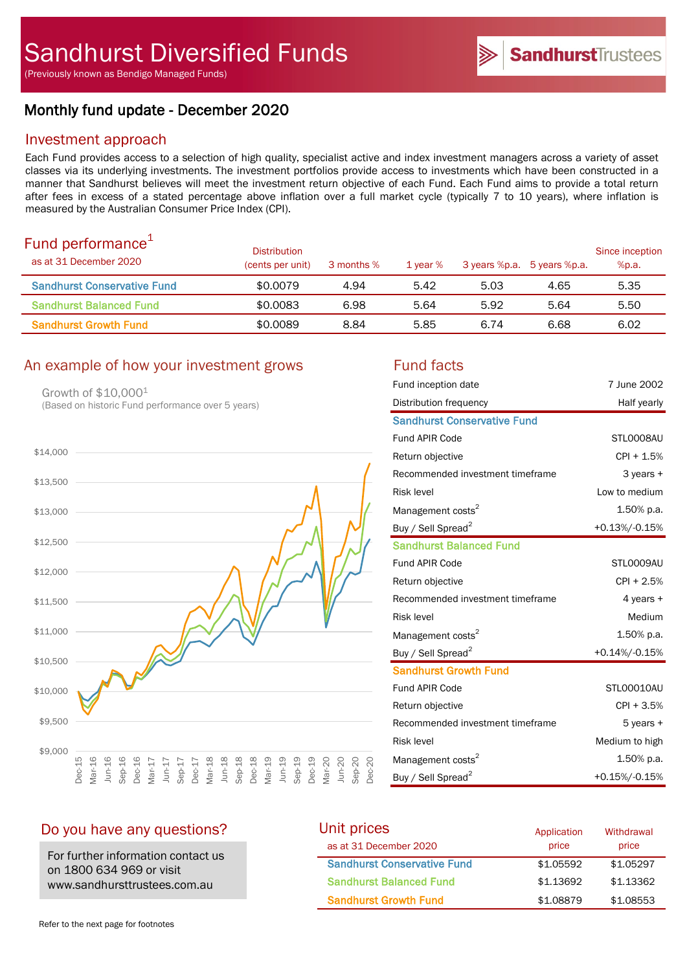(Previously known as Bendigo Managed Funds)

# Monthly fund update - December 2020

# Investment approach

Each Fund provides access to a selection of high quality, specialist active and index investment managers across a variety of asset classes via its underlying investments. The investment portfolios provide access to investments which have been constructed in a manner that Sandhurst believes will meet the investment return objective of each Fund. Each Fund aims to provide a total return after fees in excess of a stated percentage above inflation over a full market cycle (typically 7 to 10 years), where inflation is measured by the Australian Consumer Price Index (CPI).

| Fund performance <sup>+</sup><br>as at 31 December 2020 | <b>Distribution</b><br>(cents per unit) | 3 months % | 1 year $%$ |      | 3 years %p.a. 5 years %p.a. | Since inception<br>%p.a. |
|---------------------------------------------------------|-----------------------------------------|------------|------------|------|-----------------------------|--------------------------|
| <b>Sandhurst Conservative Fund</b>                      | \$0.0079                                | 4.94       | 5.42       | 5.03 | 4.65                        | 5.35                     |
| <b>Sandhurst Balanced Fund</b>                          | \$0.0083                                | 6.98       | 5.64       | 5.92 | 5.64                        | 5.50                     |
| <b>Sandhurst Growth Fund</b>                            | \$0,0089                                | 8.84       | 5.85       | 6.74 | 6.68                        | 6.02                     |

## An example of how your investment grows Fund facts

Growth of \$10,0001 (Based on historic Fund performance over 5 years)



| Fund inception date                | 7 June 2002    |
|------------------------------------|----------------|
| Distribution frequency             | Half yearly    |
| <b>Sandhurst Conservative Fund</b> |                |
| <b>Fund APIR Code</b>              | STL0008AU      |
| Return objective                   | $CPI + 1.5%$   |
| Recommended investment timeframe   | 3 years +      |
| <b>Risk level</b>                  | Low to medium  |
| Management costs <sup>2</sup>      | 1.50% p.a.     |
| Buy / Sell Spread <sup>2</sup>     | +0.13%/-0.15%  |
| <b>Sandhurst Balanced Fund</b>     |                |
| <b>Fund APIR Code</b>              | STL0009AU      |
| Return objective                   | $CPI + 2.5%$   |
| Recommended investment timeframe   | 4 years +      |
| <b>Risk level</b>                  | Medium         |
| Management costs <sup>2</sup>      | 1.50% p.a.     |
| Buy / Sell Spread <sup>2</sup>     | +0.14%/-0.15%  |
| <b>Sandhurst Growth Fund</b>       |                |
| <b>Fund APIR Code</b>              | STL00010AU     |
| Return objective                   | $CPI + 3.5%$   |
| Recommended investment timeframe   | 5 years +      |
| <b>Risk level</b>                  | Medium to high |
| Management costs <sup>2</sup>      | 1.50% p.a.     |
| Buy / Sell Spread <sup>2</sup>     | +0.15%/-0.15%  |

# Do you have any questions?

For further information contact us on 1800 634 969 or visit www.sandhursttrustees.com.au

| Unit prices                        | Application | Withdrawal |  |
|------------------------------------|-------------|------------|--|
| as at 31 December 2020             | price       | price      |  |
| <b>Sandhurst Conservative Fund</b> | \$1,05592   | \$1,05297  |  |
| <b>Sandhurst Balanced Fund</b>     | \$1.13692   | \$1,13362  |  |
| <b>Sandhurst Growth Fund</b>       | \$1,08879   | \$1.08553  |  |